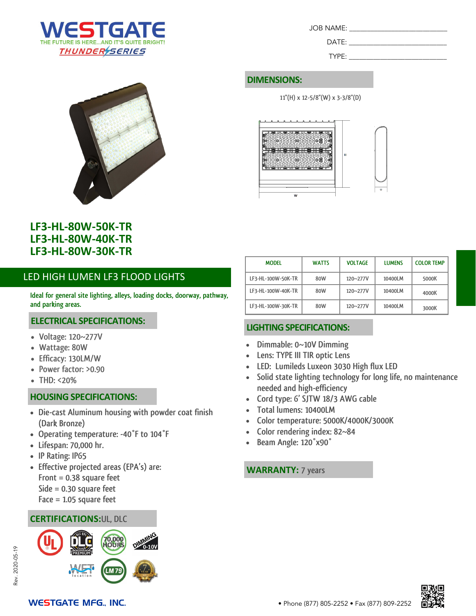



| LF3-HL-80W-50K-TR        |
|--------------------------|
| <b>LF3-HL-80W-40K-TR</b> |
| <b>LF3-HL-80W-30K-TR</b> |

## LED HIGH LUMEN LF3 FLOOD LIGHTS

**Ideal for general site lighting, alleys, loading docks, doorway, pathway, and parking areas.**

#### **ELECTRICAL SPECIFICATIONS:**

- **Voltage: 120~277V**
- **Wattage: 80W**
- **Efficacy: 130LM/W**
- **Power factor: >0.90**
- **THD: <20%**

#### **HOUSING SPECIFICATIONS:**

- **Die-cast Aluminum housing with powder coat finish (Dark Bronze)**
- **Operating temperature: -40°F to 104°F**
- **Lifespan: 70,000 hr.**
- **IP Rating: IP65**

Rev. 2020-05-19

2020-05-19

Rev.

- **Effective projected areas (EPA's) are: Front = 0.38 square feet Side = 0.30 square feet**
	-
	- **Face = 1.05 square feet**

#### **CERTIFICATIONS:UL, DLC**



**MODEL WATTS VOLTAGE LUMENS COLOR TEMP LF3-HL-100W-50K-TR 80W 120~277V 10400LM 5000K LF3-HL-100W-40K-TR 80W 120~277V 10400LM 4000K LF3-HL-100W-30K-TR 80W 120~277V 10400LM 3000K**

JOB NAME: \_\_\_\_\_\_\_\_\_\_\_\_\_\_\_\_\_\_\_\_\_\_\_\_\_\_\_\_

 $DATE:$ TYPE:

**11"(H) x 12-5/8"(W) x 3-3/8"(D)**

®∏

808889

#### **LIGHTING SPECIFICATIONS:**

**DIMENSIONS:**

- **Dimmable: 0~10V Dimming**
- **Lens: TYPE III TIR optic Lens**
- **LED: Lumileds Luxeon 3030 High flux LED**
- **Solid state lighting technology for long life, no maintenance needed and high-efficiency**
- **Cord type: 6' SJTW 18/3 AWG cable**
- **Total lumens: 10400LM**
- **Color temperature: 5000K/4000K/3000K**
- **Color rendering index: 82~84**
- **Beam Angle: 120°x90°**

#### **WARRANTY: 7 years**

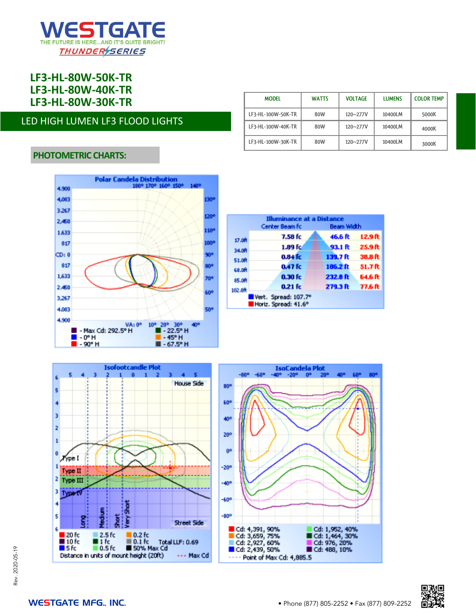

**LF3-HL-80W-50K-TR LF3-HL-80W-40K-TR LF3-HL-80W-30K-TR MODEL WATTS VOLTAGE LUMENS COLOR TEMP**

### LED HIGH LUMEN LF3 FLOOD LIGHTS

| <b>MODEL</b>       | <b>WATTS</b> | <b>VOLTAGE</b> | <b>LUMENS</b> | <b>COLOR TEMP</b> |
|--------------------|--------------|----------------|---------------|-------------------|
| LF3-HL-100W-50K-TR | 80W          | 120~277V       | 10400LM       | 5000K             |
| LF3-HL-100W-40K-TR | 80W          | 120~277V       | 10400LM       | 4000K             |
| LF3-HL-100W-30K-TR | 80W          | 120~277V       | 10400LM       | 3000K             |

#### **PHOTOMETRIC CHARTS:**



|        | <b>Illuminance at a Distance</b><br>Center Beam fc | Beam Width |         |  |
|--------|----------------------------------------------------|------------|---------|--|
| 17.08  | 7.58 fc                                            | 46.6 化     | 12.9 ft |  |
| 34.08  | 1.89f <sub>C</sub>                                 | 93.1 ft    | 25.9 ft |  |
| 51.08  | 0.84 fc                                            | 139.7 ft   | 38.8 ft |  |
| 68.08  | 0.47 fc                                            | 186.2 ft   | 51.7R   |  |
| 85.0R  | $0.30$ fc                                          | 232.8 ft   | 64.6 ft |  |
| 102.0R | $0.21$ fc                                          | 279.3 ft   | 77.6 ft |  |
|        | Vert. Spread: 107.7°<br>Horiz. Spread: 41.6°       |            |         |  |